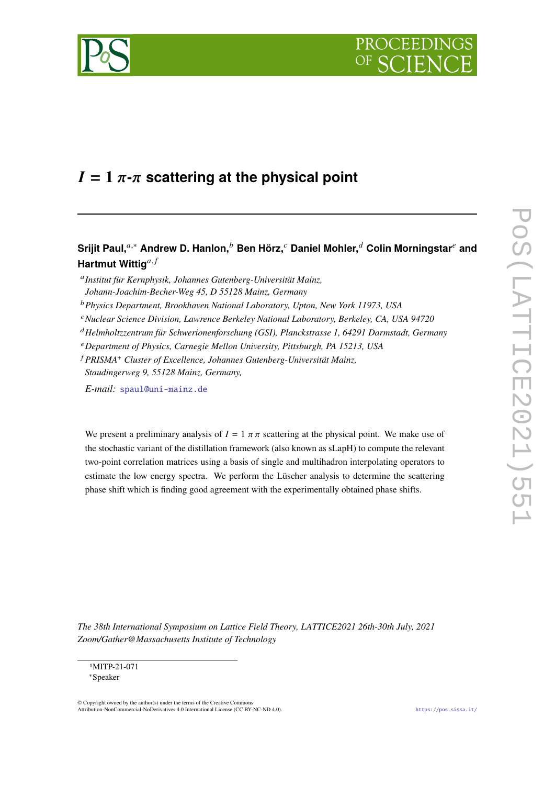



# $I = 1 \pi$ - $\pi$  scattering at the physical point

# **Srijit Paul,**<sup>a,∗</sup> Andrew D. Hanlon,<sup>b</sup> Ben Hörz,<sup>c</sup> Daniel Mohler,<sup>d</sup> Colin Morningstar<sup>e</sup> and **Hartmut Wittig**<sup>a,f</sup>

*Institut für Kernphysik, Johannes Gutenberg-Universität Mainz,*

- *Physics Department, Brookhaven National Laboratory, Upton, New York 11973, USA*
- *Nuclear Science Division, Lawrence Berkeley National Laboratory, Berkeley, CA, USA 94720*
- *Helmholtzzentrum für Schwerionenforschung (GSI), Planckstrasse 1, 64291 Darmstadt, Germany*
- *Department of Physics, Carnegie Mellon University, Pittsburgh, PA 15213, USA*
- *PRISMA*<sup>+</sup> *Cluster of Excellence, Johannes Gutenberg-Universität Mainz, Staudingerweg 9, 55128 Mainz, Germany,*

*E-mail:* [spaul@uni-mainz.de](mailto:spaul@uni-mainz.de)

We present a preliminary analysis of  $I = 1 \pi \pi$  scattering at the physical point. We make use of the stochastic variant of the distillation framework (also known as sLapH) to compute the relevant two-point correlation matrices using a basis of single and multihadron interpolating operators to estimate the low energy spectra. We perform the Lüscher analysis to determine the scattering phase shift which is finding good agreement with the experimentally obtained phase shifts.

*The 38th International Symposium on Lattice Field Theory, LATTICE2021 26th-30th July, 2021 Zoom/Gather@Massachusetts Institute of Technology*

*Johann-Joachim-Becher-Weg 45, D 55128 Mainz, Germany*

<sup>1</sup>MITP-21-071 ∗Speaker

<sup>©</sup> Copyright owned by the author(s) under the terms of the Creative Commons Attribution-NonCommercial-NoDerivatives 4.0 International License (CC BY-NC-ND 4.0). <https://pos.sissa.it/>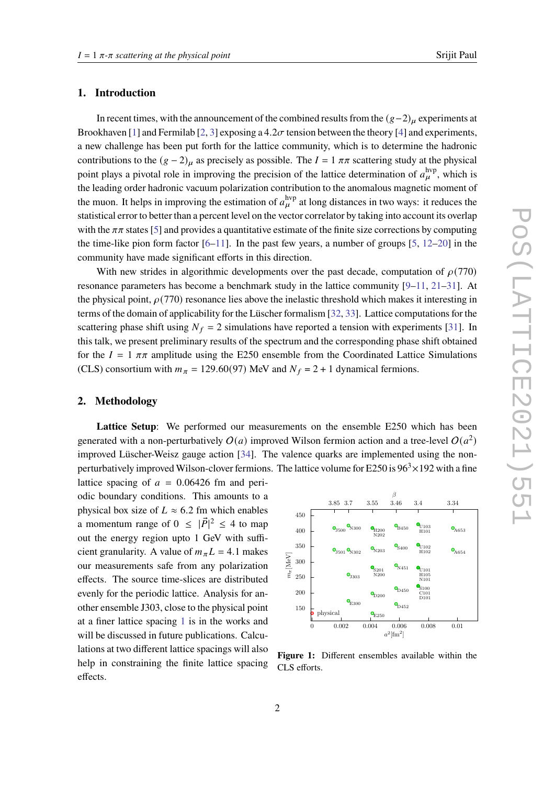### **1. Introduction**

In recent times, with the announcement of the combined results from the  $(g-2)_u$  experiments at Brookhaven [\[1\]](#page-6-0) and Fermilab [\[2,](#page-6-1) [3\]](#page-6-2) exposing a 4.2 $\sigma$  tension between the theory [\[4\]](#page-6-3) and experiments, a new challenge has been put forth for the lattice community, which is to determine the hadronic contributions to the  $(g - 2)$ <sub>u</sub> as precisely as possible. The  $I = 1 \pi \pi$  scattering study at the physical point plays a pivotal role in improving the precision of the lattice determination of  $a_{\mu}^{\text{hyp}}$ , which is the leading order hadronic vacuum polarization contribution to the anomalous magnetic moment of the muon. It helps in improving the estimation of  $a_{\mu}^{\text{hyp}}$  at long distances in two ways: it reduces the statistical error to better than a percent level on the vector correlator by taking into account its overlap with the  $\pi\pi$  states [\[5\]](#page-6-4) and provides a quantitative estimate of the finite size corrections by computing the time-like pion form factor  $[6-11]$  $[6-11]$ . In the past few years, a number of groups  $[5, 12-20]$  $[5, 12-20]$  $[5, 12-20]$  in the community have made significant efforts in this direction.

With new strides in algorithmic developments over the past decade, computation of  $\rho$ (770) resonance parameters has become a benchmark study in the lattice community [\[9–](#page-7-3)[11,](#page-7-0) [21–](#page-7-4)[31\]](#page-8-0). At the physical point,  $\rho(770)$  resonance lies above the inelastic threshold which makes it interesting in terms of the domain of applicability for the Lüscher formalism [\[32,](#page-8-1) [33\]](#page-8-2). Lattice computations for the scattering phase shift using  $N_f = 2$  simulations have reported a tension with experiments [\[31\]](#page-8-0). In this talk, we present preliminary results of the spectrum and the corresponding phase shift obtained for the  $I = 1 \pi \pi$  amplitude using the E250 ensemble from the Coordinated Lattice Simulations (CLS) consortium with  $m_{\pi} = 129.60(97)$  MeV and  $N_f = 2 + 1$  dynamical fermions.

#### **2. Methodology**

Lattice Setup: We performed our measurements on the ensemble E250 which has been generated with a non-perturbatively  $O(a)$  improved Wilson fermion action and a tree-level  $O(a^2)$ improved Lüscher-Weisz gauge action [\[34\]](#page-8-3). The valence quarks are implemented using the nonperturbatively improved Wilson-clover fermions. The lattice volume for E250 is  $96<sup>3</sup> \times 192$  with a fine

lattice spacing of  $a = 0.06426$  fm and periodic boundary conditions. This amounts to a physical box size of  $L \approx 6.2$  fm which enables a momentum range of  $0 \leq |\vec{P}|^2 \leq 4$  to map out the energy region upto 1 GeV with sufficient granularity. A value of  $m_{\pi}L = 4.1$  makes our measurements safe from any polarization effects. The source time-slices are distributed evenly for the periodic lattice. Analysis for another ensemble J303, close to the physical point at a finer lattice spacing [1](#page-1-0) is in the works and will be discussed in future publications. Calculations at two different lattice spacings will also help in constraining the finite lattice spacing effects.

<span id="page-1-0"></span>

**Figure 1:** Different ensembles available within the CLS efforts.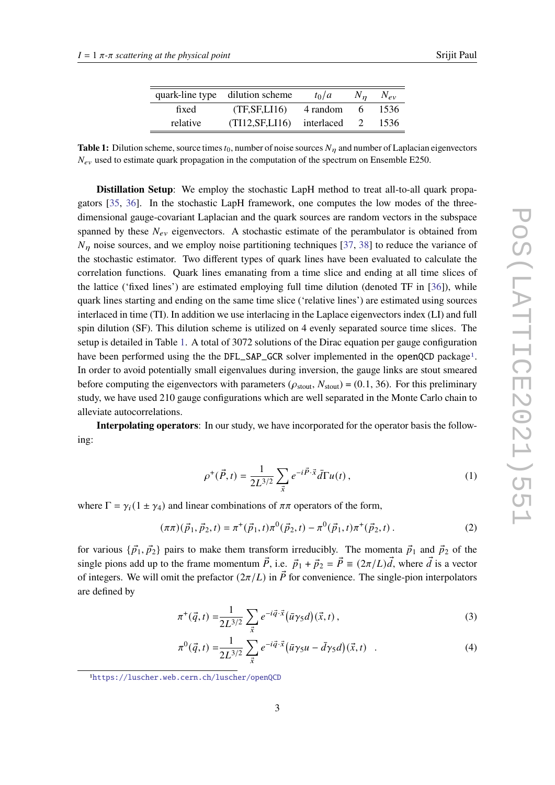|  | Srijit Paul |
|--|-------------|
|  |             |

|          | quark-line type dilution scheme | $t_0/a$      | $N_{n}$ | $N_{ev}$ |
|----------|---------------------------------|--------------|---------|----------|
| fixed    | (TF, SF, LI16)                  | 4 random     | 6       | 1536     |
| relative | (TI12, SF, LI16)                | interlaced 2 |         | 1536     |

<span id="page-2-0"></span>**Table 1:** Dilution scheme, source times  $t_0$ , number of noise sources  $N_n$  and number of Laplacian eigenvectors  $N_{ev}$  used to estimate quark propagation in the computation of the spectrum on Ensemble E250.

**Distillation Setup**: We employ the stochastic LapH method to treat all-to-all quark propagators [\[35,](#page-8-4) [36\]](#page-8-5). In the stochastic LapH framework, one computes the low modes of the threedimensional gauge-covariant Laplacian and the quark sources are random vectors in the subspace spanned by these  $N_{ev}$  eigenvectors. A stochastic estimate of the perambulator is obtained from  $N_n$  noise sources, and we employ noise partitioning techniques [\[37,](#page-8-6) [38\]](#page-8-7) to reduce the variance of the stochastic estimator. Two different types of quark lines have been evaluated to calculate the correlation functions. Quark lines emanating from a time slice and ending at all time slices of the lattice ('fixed lines') are estimated employing full time dilution (denoted TF in [\[36\]](#page-8-5)), while quark lines starting and ending on the same time slice ('relative lines') are estimated using sources interlaced in time (TI). In addition we use interlacing in the Laplace eigenvectors index (LI) and full spin dilution (SF). This dilution scheme is utilized on 4 evenly separated source time slices. The setup is detailed in Table [1.](#page-2-0) A total of 3072 solutions of the Dirac equation per gauge configuration have been performed using the the DFL\_SAP\_GCR solver implemented in the openQCD package<sup>[1](#page-2-1)</sup>. In order to avoid potentially small eigenvalues during inversion, the gauge links are stout smeared before computing the eigenvectors with parameters ( $\rho_{\text{stout}}$ ,  $N_{\text{stout}}$ ) = (0.1, 36). For this preliminary study, we have used 210 gauge configurations which are well separated in the Monte Carlo chain to alleviate autocorrelations.

**Interpolating operators**: In our study, we have incorporated for the operator basis the following:

$$
\rho^+(\vec{P},t) = \frac{1}{2L^{3/2}} \sum_{\vec{x}} e^{-i\vec{P}\cdot\vec{x}} \bar{d}\Gamma u(t) , \qquad (1)
$$

where  $\Gamma = \gamma_i (1 \pm \gamma_4)$  and linear combinations of  $\pi \pi$  operators of the form,

$$
(\pi \pi)(\vec{p}_1, \vec{p}_2, t) = \pi^+(\vec{p}_1, t)\pi^0(\vec{p}_2, t) - \pi^0(\vec{p}_1, t)\pi^+(\vec{p}_2, t).
$$
 (2)

for various  $\{\vec{p}_1, \vec{p}_2\}$  pairs to make them transform irreducibly. The momenta  $\vec{p}_1$  and  $\vec{p}_2$  of the single pions add up to the frame momentum  $\vec{P}$ , i.e.  $\vec{p}_1 + \vec{p}_2 = \vec{P} \equiv (2\pi/L)\vec{d}$ , where  $\vec{d}$  is a vector of integers. We will omit the prefactor  $(2\pi/L)$  in  $\vec{P}$  for convenience. The single-pion interpolators are defined by

$$
\pi^+(\vec{q},t) = \frac{1}{2L^{3/2}} \sum_{\vec{x}} e^{-i\vec{q}\cdot\vec{x}} (\bar{u}\gamma_5 d)(\vec{x},t) ,
$$
 (3)

$$
\pi^{0}(\vec{q},t) = \frac{1}{2L^{3/2}} \sum_{\vec{x}} e^{-i\vec{q}\cdot\vec{x}} (\bar{u}\gamma_{5}u - \bar{d}\gamma_{5}d)(\vec{x},t) \quad . \tag{4}
$$

<span id="page-2-1"></span><sup>1</sup><https://luscher.web.cern.ch/luscher/openQCD>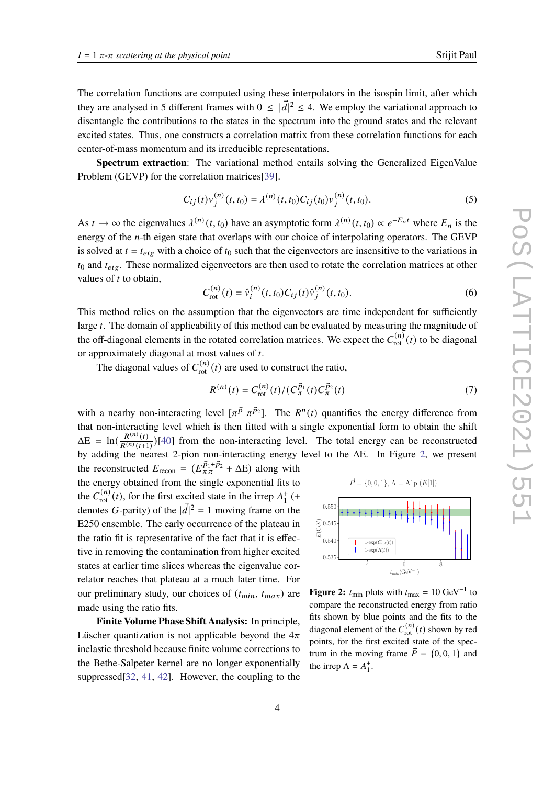The correlation functions are computed using these interpolators in the isospin limit, after which they are analysed in 5 different frames with  $0 \leq |\vec{d}|^2 \leq 4$ . We employ the variational approach to disentangle the contributions to the states in the spectrum into the ground states and the relevant excited states. Thus, one constructs a correlation matrix from these correlation functions for each center-of-mass momentum and its irreducible representations.

**Spectrum extraction**: The variational method entails solving the Generalized EigenValue Problem (GEVP) for the correlation matrices[\[39\]](#page-8-8).

$$
C_{ij}(t)v_j^{(n)}(t,t_0) = \lambda^{(n)}(t,t_0)C_{ij}(t_0)v_j^{(n)}(t,t_0).
$$
\n(5)

As  $t \to \infty$  the eigenvalues  $\lambda^{(n)}(t, t_0)$  have an asymptotic form  $\lambda^{(n)}(t, t_0) \propto e^{-E_n t}$  where  $E_n$  is the energy of the  $n$ -th eigen state that overlaps with our choice of interpolating operators. The GEVP is solved at  $t = t_{eig}$  with a choice of  $t_0$  such that the eigenvectors are insensitive to the variations in  $t_0$  and  $t_{eig}$ . These normalized eigenvectors are then used to rotate the correlation matrices at other values of  $t$  to obtain,

$$
C_{\rm rot}^{(n)}(t) = \hat{v}_i^{(n)}(t, t_0) C_{ij}(t) \hat{v}_j^{(n)}(t, t_0).
$$
 (6)

This method relies on the assumption that the eigenvectors are time independent for sufficiently large  $t$ . The domain of applicability of this method can be evaluated by measuring the magnitude of the off-diagonal elements in the rotated correlation matrices. We expect the  $C_{\text{rot}}^{(n)}(t)$  to be diagonal or approximately diagonal at most values of  $t$ .

The diagonal values of  $C_{\text{rot}}^{(n)}(t)$  are used to construct the ratio,

$$
R^{(n)}(t) = C_{\text{rot}}^{(n)}(t) / (C_{\pi}^{\vec{p}_1}(t) C_{\pi}^{\vec{p}_2}(t)
$$
\n(7)

with a nearby non-interacting level  $[\pi^{\vec{p}_1} \pi^{\vec{p}_2}]$ . The  $R^n(t)$  quantifies the energy difference from that non-interacting level which is then fitted with a single exponential form to obtain the shift  $\Delta E = \ln\left(\frac{R^{(n)}(t)}{R^{(n)}(t)}\right)$  $\frac{R^{(n)}(t)}{R^{(n)}(t+1)}$  [\[40\]](#page-8-9) from the non-interacting level. The total energy can be reconstructed by adding the nearest 2-pion non-interacting energy level to the ΔE. In Figure [2,](#page-3-0) we present

the reconstructed  $E_{\text{recon}} = (E_{\pi\pi}^{\vec{p}_1 + \vec{p}_2} + \Delta E)$  along with the energy obtained from the single exponential fits to the  $C_{\text{rot}}^{(n)}(t)$ , for the first excited state in the irrep  $A_{1}^{+}(+$ denotes G-parity) of the  $|\vec{d}|^2 = 1$  moving frame on the E250 ensemble. The early occurrence of the plateau in the ratio fit is representative of the fact that it is effective in removing the contamination from higher excited states at earlier time slices whereas the eigenvalue correlator reaches that plateau at a much later time. For our preliminary study, our choices of  $(t_{min}, t_{max})$  are made using the ratio fits.

**Finite Volume Phase Shift Analysis:** In principle, Lüscher quantization is not applicable beyond the  $4\pi$ inelastic threshold because finite volume corrections to the Bethe-Salpeter kernel are no longer exponentially suppressed[\[32,](#page-8-1) [41,](#page-8-10) [42\]](#page-8-11). However, the coupling to the

<span id="page-3-0"></span>

**Figure 2:**  $t_{\text{min}}$  plots with  $t_{\text{max}} = 10 \text{ GeV}^{-1}$  to compare the reconstructed energy from ratio fits shown by blue points and the fits to the diagonal element of the  $C_{\text{rot}}^{(n)}(t)$  shown by red points, for the first excited state of the spectrum in the moving frame  $\vec{P} = \{0, 0, 1\}$  and the irrep  $\Lambda = A_1^+$ .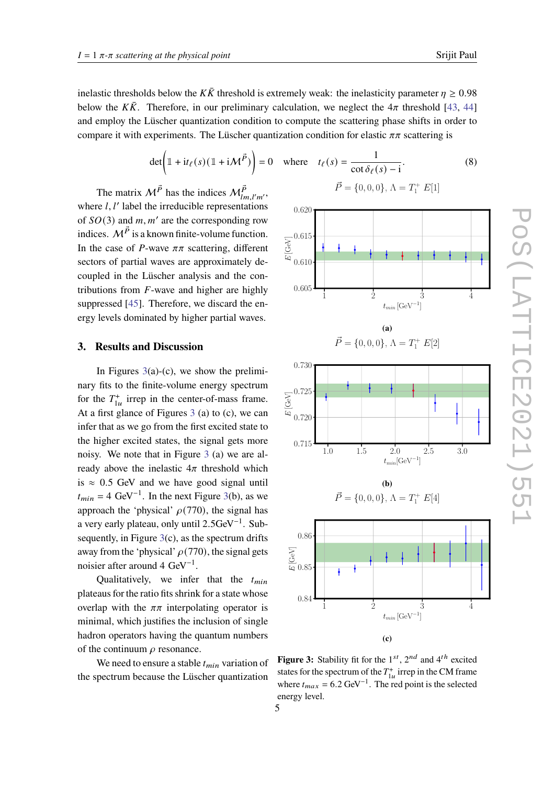inelastic thresholds below the  $K\bar{K}$  threshold is extremely weak: the inelasticity parameter  $\eta \geq 0.98$ below the  $K\bar{K}$ . Therefore, in our preliminary calculation, we neglect the  $4\pi$  threshold [\[43,](#page-8-12) [44\]](#page-8-13) and employ the Lüscher quantization condition to compute the scattering phase shifts in order to compare it with experiments. The Lüscher quantization condition for elastic  $\pi\pi$  scattering is

$$
\det\left(\mathbb{1} + \mathrm{i}t_{\ell}(s)(\mathbb{1} + \mathrm{i} \mathcal{M}^{\vec{P}})\right) = 0 \quad \text{where} \quad t_{\ell}(s) = \frac{1}{\cot \delta_{\ell}(s) - \mathrm{i}}.
$$
 (8)

The matrix  $M^{\vec{P}}$  has the indices  $M^{\vec{P}}_{lm,l'm'}$ , where  $l, l'$  label the irreducible representations of  $SO(3)$  and  $m, m'$  are the corresponding row indices.  $M^{\vec{P}}$  is a known finite-volume function. In the case of P-wave  $\pi\pi$  scattering, different sectors of partial waves are approximately decoupled in the Lüscher analysis and the contributions from  $F$ -wave and higher are highly suppressed [\[45\]](#page-8-14). Therefore, we discard the energy levels dominated by higher partial waves.

#### **3. Results and Discussion**

In Figures  $3(a)-(c)$  $3(a)-(c)$ , we show the preliminary fits to the finite-volume energy spectrum for the  $T_{1u}^+$  irrep in the center-of-mass frame. At a first glance of Figures [3](#page-4-0) (a) to (c), we can infer that as we go from the first excited state to the higher excited states, the signal gets more noisy. We note that in Figure [3](#page-4-0) (a) we are already above the inelastic  $4\pi$  threshold which is  $\approx 0.5$  GeV and we have good signal until  $t_{min} = 4 \text{ GeV}^{-1}$ . In the next Figure [3\(](#page-4-0)b), as we approach the 'physical'  $\rho$ (770), the signal has a very early plateau, only until 2.5GeV<sup>-1</sup>. Subsequently, in Figure  $3(c)$  $3(c)$ , as the spectrum drifts away from the 'physical'  $\rho$ (770), the signal gets noisier after around 4 GeV<sup>-1</sup>.

Qualitatively, we infer that the  $t_{min}$ plateaus for the ratio fits shrink for a state whose overlap with the  $\pi\pi$  interpolating operator is minimal, which justifies the inclusion of single hadron operators having the quantum numbers of the continuum  $\rho$  resonance.

We need to ensure a stable  $t_{min}$  variation of the spectrum because the Lüscher quantization

<span id="page-4-0"></span>

(a)  

$$
\vec{P} = \{0, 0, 0\}, \Lambda = T_1^+ E[2]
$$





**Figure 3:** Stability fit for the  $1^{st}$ ,  $2^{nd}$  and  $4^{th}$  excited states for the spectrum of the  $T_{1u}^+$  irrep in the CM frame where  $t_{max} = 6.2 \text{ GeV}^{-1}$ . The red point is the selected energy level.

5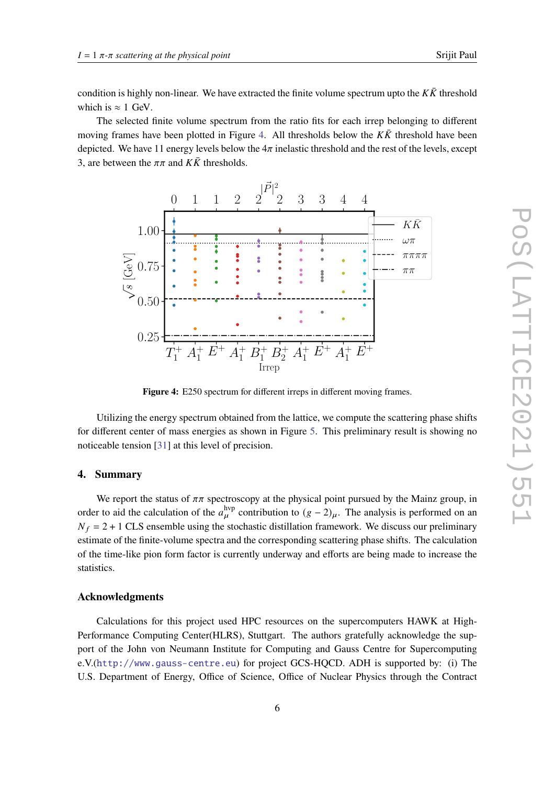condition is highly non-linear. We have extracted the finite volume spectrum upto the  $K\bar{K}$  threshold which is  $\approx 1$  GeV.

The selected finite volume spectrum from the ratio fits for each irrep belonging to different moving frames have been plotted in Figure [4.](#page-5-0) All thresholds below the  $K\bar{K}$  threshold have been depicted. We have 11 energy levels below the  $4\pi$  inelastic threshold and the rest of the levels, except 3, are between the  $\pi\pi$  and  $K\bar{K}$  thresholds.

<span id="page-5-0"></span>

**Figure 4:** E250 spectrum for different irreps in different moving frames.

Utilizing the energy spectrum obtained from the lattice, we compute the scattering phase shifts for different center of mass energies as shown in Figure [5.](#page-6-6) This preliminary result is showing no noticeable tension [\[31\]](#page-8-0) at this level of precision.

## **4. Summary**

We report the status of  $\pi\pi$  spectroscopy at the physical point pursued by the Mainz group, in order to aid the calculation of the  $a_{\mu}^{\text{hyp}}$  contribution to  $(g-2)_{\mu}$ . The analysis is performed on an  $N_f = 2 + 1$  CLS ensemble using the stochastic distillation framework. We discuss our preliminary estimate of the finite-volume spectra and the corresponding scattering phase shifts. The calculation of the time-like pion form factor is currently underway and efforts are being made to increase the statistics.

#### **Acknowledgments**

Calculations for this project used HPC resources on the supercomputers HAWK at High-Performance Computing Center(HLRS), Stuttgart. The authors gratefully acknowledge the support of the John von Neumann Institute for Computing and Gauss Centre for Supercomputing e.V.(<http://www.gauss-centre.eu>) for project GCS-HQCD. ADH is supported by: (i) The U.S. Department of Energy, Office of Science, Office of Nuclear Physics through the Contract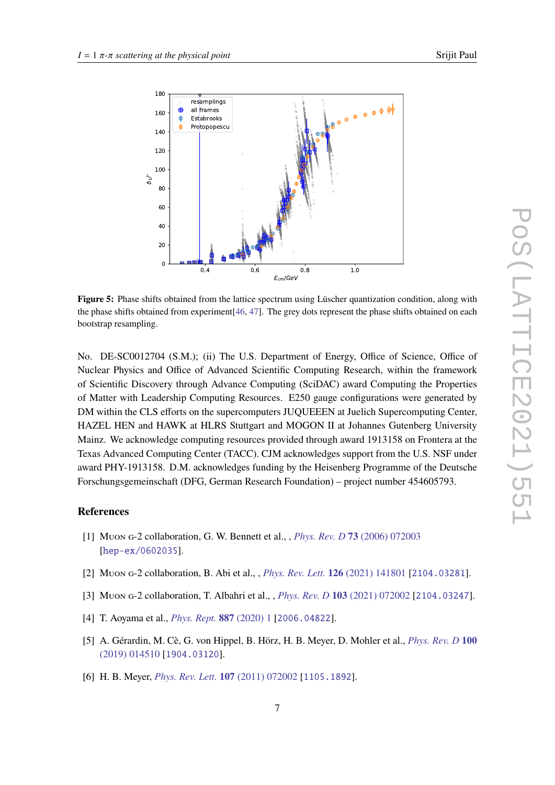<span id="page-6-6"></span>

**Figure 5:** Phase shifts obtained from the lattice spectrum using Lüscher quantization condition, along with the phase shifts obtained from experiment[\[46,](#page-8-15) [47\]](#page-8-16). The grey dots represent the phase shifts obtained on each bootstrap resampling.

No. DE-SC0012704 (S.M.); (ii) The U.S. Department of Energy, Office of Science, Office of Nuclear Physics and Office of Advanced Scientific Computing Research, within the framework of Scientific Discovery through Advance Computing (SciDAC) award Computing the Properties of Matter with Leadership Computing Resources. E250 gauge configurations were generated by DM within the CLS efforts on the supercomputers JUQUEEEN at Juelich Supercomputing Center, HAZEL HEN and HAWK at HLRS Stuttgart and MOGON II at Johannes Gutenberg University Mainz. We acknowledge computing resources provided through award 1913158 on Frontera at the Texas Advanced Computing Center (TACC). CJM acknowledges support from the U.S. NSF under award PHY-1913158. D.M. acknowledges funding by the Heisenberg Programme of the Deutsche Forschungsgemeinschaft (DFG, German Research Foundation) – project number 454605793.

#### **References**

- <span id="page-6-0"></span>[1] Muon g-2 collaboration, G. W. Bennett et al., , *[Phys. Rev. D](https://doi.org/10.1103/PhysRevD.73.072003)* **73** (2006) 072003 [[hep-ex/0602035](https://arxiv.org/abs/hep-ex/0602035)].
- <span id="page-6-1"></span>[2] Muon g-2 collaboration, B. Abi et al., , *[Phys. Rev. Lett.](https://doi.org/10.1103/PhysRevLett.126.141801)* **126** (2021) 141801 [[2104.03281](https://arxiv.org/abs/2104.03281)].
- <span id="page-6-2"></span>[3] Muon g-2 collaboration, T. Albahri et al., , *[Phys. Rev. D](https://doi.org/10.1103/PhysRevD.103.072002)* **103** (2021) 072002 [[2104.03247](https://arxiv.org/abs/2104.03247)].
- <span id="page-6-3"></span>[4] T. Aoyama et al., *[Phys. Rept.](https://doi.org/10.1016/j.physrep.2020.07.006)* **887** (2020) 1 [[2006.04822](https://arxiv.org/abs/2006.04822)].
- <span id="page-6-4"></span>[5] A. Gérardin, M. Cè, G. von Hippel, B. Hörz, H. B. Meyer, D. Mohler et al., *[Phys. Rev. D](https://doi.org/10.1103/PhysRevD.100.014510)* **100** [\(2019\) 014510](https://doi.org/10.1103/PhysRevD.100.014510) [[1904.03120](https://arxiv.org/abs/1904.03120)].
- <span id="page-6-5"></span>[6] H. B. Meyer, *[Phys. Rev. Lett.](https://doi.org/10.1103/PhysRevLett.107.072002)* **107** (2011) 072002 [[1105.1892](https://arxiv.org/abs/1105.1892)].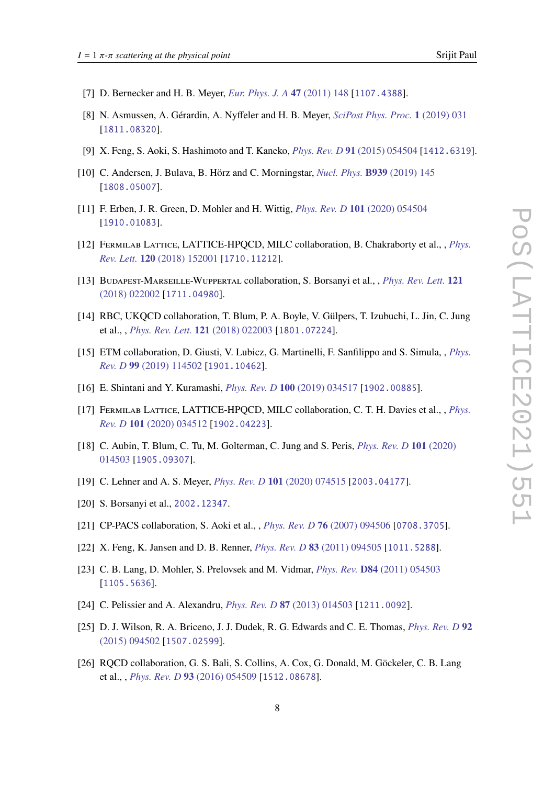- [7] D. Bernecker and H. B. Meyer, *[Eur. Phys. J. A](https://doi.org/10.1140/epja/i2011-11148-6)* **47** (2011) 148 [[1107.4388](https://arxiv.org/abs/1107.4388)].
- [8] N. Asmussen, A. Gérardin, A. Nyffeler and H. B. Meyer, *[SciPost Phys. Proc.](https://doi.org/10.21468/SciPostPhysProc.1.031)* **1** (2019) 031 [[1811.08320](https://arxiv.org/abs/1811.08320)].
- <span id="page-7-3"></span>[9] X. Feng, S. Aoki, S. Hashimoto and T. Kaneko, *[Phys. Rev. D](https://doi.org/10.1103/PhysRevD.91.054504)* **91** (2015) 054504 [[1412.6319](https://arxiv.org/abs/1412.6319)].
- [10] C. Andersen, J. Bulava, B. Hörz and C. Morningstar, *[Nucl. Phys.](https://doi.org/10.1016/j.nuclphysb.2018.12.018)* **B939** (2019) 145 [[1808.05007](https://arxiv.org/abs/1808.05007)].
- <span id="page-7-0"></span>[11] F. Erben, J. R. Green, D. Mohler and H. Wittig, *[Phys. Rev. D](https://doi.org/10.1103/PhysRevD.101.054504)* **101** (2020) 054504 [[1910.01083](https://arxiv.org/abs/1910.01083)].
- <span id="page-7-1"></span>[12] Fermilab Lattice, LATTICE-HPQCD, MILC collaboration, B. Chakraborty et al., , *[Phys.](https://doi.org/10.1103/PhysRevLett.120.152001) Rev. Lett.* **120** [\(2018\) 152001](https://doi.org/10.1103/PhysRevLett.120.152001) [[1710.11212](https://arxiv.org/abs/1710.11212)].
- [13] Budapest-Marseille-Wuppertal collaboration, S. Borsanyi et al., , *[Phys. Rev. Lett.](https://doi.org/10.1103/PhysRevLett.121.022002)* **121** [\(2018\) 022002](https://doi.org/10.1103/PhysRevLett.121.022002) [[1711.04980](https://arxiv.org/abs/1711.04980)].
- [14] RBC, UKQCD collaboration, T. Blum, P. A. Boyle, V. Gülpers, T. Izubuchi, L. Jin, C. Jung et al., , *[Phys. Rev. Lett.](https://doi.org/10.1103/PhysRevLett.121.022003)* **121** (2018) 022003 [[1801.07224](https://arxiv.org/abs/1801.07224)].
- [15] ETM collaboration, D. Giusti, V. Lubicz, G. Martinelli, F. Sanfilippo and S. Simula, , *[Phys.](https://doi.org/10.1103/PhysRevD.99.114502) Rev. D* **99** [\(2019\) 114502](https://doi.org/10.1103/PhysRevD.99.114502) [[1901.10462](https://arxiv.org/abs/1901.10462)].
- [16] E. Shintani and Y. Kuramashi, *[Phys. Rev. D](https://doi.org/10.1103/PhysRevD.100.034517)* **100** (2019) 034517 [[1902.00885](https://arxiv.org/abs/1902.00885)].
- [17] FERMILAB LATTICE, LATTICE-HPQCD, MILC collaboration, C. T. H. Davies et al., , *[Phys.](https://doi.org/10.1103/PhysRevD.101.034512) Rev. D* **101** [\(2020\) 034512](https://doi.org/10.1103/PhysRevD.101.034512) [[1902.04223](https://arxiv.org/abs/1902.04223)].
- [18] C. Aubin, T. Blum, C. Tu, M. Golterman, C. Jung and S. Peris, *[Phys. Rev. D](https://doi.org/10.1103/PhysRevD.101.014503)* **101** (2020) [014503](https://doi.org/10.1103/PhysRevD.101.014503) [[1905.09307](https://arxiv.org/abs/1905.09307)].
- [19] C. Lehner and A. S. Meyer, *[Phys. Rev. D](https://doi.org/10.1103/PhysRevD.101.074515)* **101** (2020) 074515 [[2003.04177](https://arxiv.org/abs/2003.04177)].
- <span id="page-7-2"></span>[20] S. Borsanyi et al., [2002.12347](https://arxiv.org/abs/2002.12347).
- <span id="page-7-4"></span>[21] CP-PACS collaboration, S. Aoki et al., , *[Phys. Rev. D](https://doi.org/10.1103/PhysRevD.76.094506)* **76** (2007) 094506 [[0708.3705](https://arxiv.org/abs/0708.3705)].
- [22] X. Feng, K. Jansen and D. B. Renner, *[Phys. Rev. D](https://doi.org/10.1103/PhysRevD.83.094505)* **83** (2011) 094505 [[1011.5288](https://arxiv.org/abs/1011.5288)].
- [23] C. B. Lang, D. Mohler, S. Prelovsek and M. Vidmar, *Phys. Rev.* **D84** [\(2011\) 054503](https://doi.org/10.1103/PhysRevD.89.059903, 10.1103/PhysRevD.84.054503) [[1105.5636](https://arxiv.org/abs/1105.5636)].
- [24] C. Pelissier and A. Alexandru, *[Phys. Rev. D](https://doi.org/10.1103/PhysRevD.87.014503)* **87** (2013) 014503 [[1211.0092](https://arxiv.org/abs/1211.0092)].
- [25] D. J. Wilson, R. A. Briceno, J. J. Dudek, R. G. Edwards and C. E. Thomas, *[Phys. Rev. D](https://doi.org/10.1103/PhysRevD.92.094502)* **92** [\(2015\) 094502](https://doi.org/10.1103/PhysRevD.92.094502) [[1507.02599](https://arxiv.org/abs/1507.02599)].
- [26] RQCD collaboration, G. S. Bali, S. Collins, A. Cox, G. Donald, M. Göckeler, C. B. Lang et al., , *[Phys. Rev. D](https://doi.org/10.1103/PhysRevD.93.054509)* **93** (2016) 054509 [[1512.08678](https://arxiv.org/abs/1512.08678)].